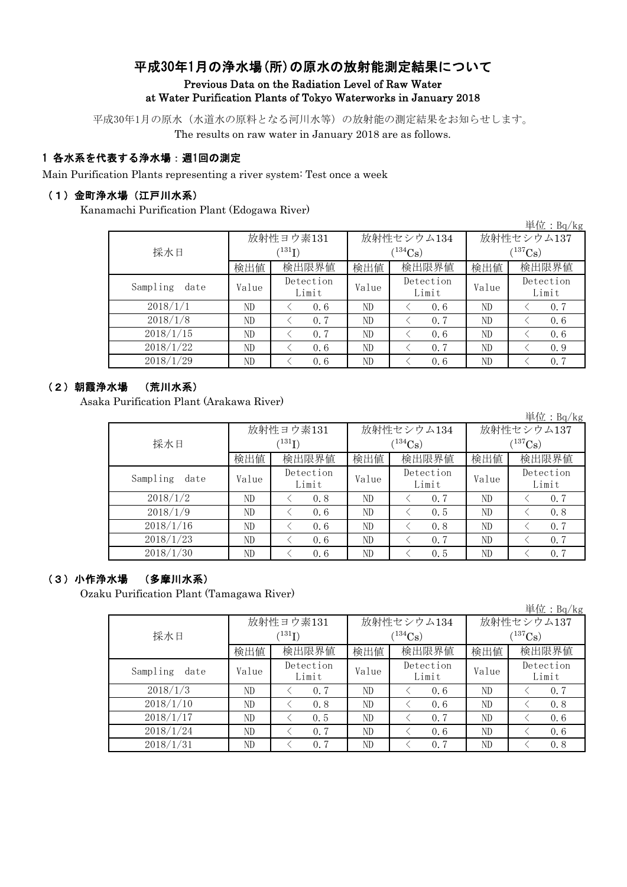# 平成30年1月の浄水場(所)の原水の放射能測定結果について Previous Data on the Radiation Level of Raw Water at Water Purification Plants of Tokyo Waterworks in January 2018

平成30年1月の原水(水道水の原料となる河川水等)の放射能の測定結果をお知らせします。

The results on raw water in January 2018 are as follows.

# 1 各水系を代表する浄水場:週1回の測定

Main Purification Plants representing a river system: Test once a week

### (1)金町浄水場(江戸川水系)

Kanamachi Purification Plant (Edogawa River)

|                  |       |                            |       |                    |              | 単位: Bq/kg          |  |
|------------------|-------|----------------------------|-------|--------------------|--------------|--------------------|--|
|                  |       | 放射性ヨウ素131                  |       | 放射性セシウム134         | 放射性セシウム137   |                    |  |
| 採水日              |       | $^{\prime131} \mathrm{I})$ |       | $(134)$ Cs)        | $(^{137}Cs)$ |                    |  |
|                  | 検出値   | 検出限界値                      | 検出値   | 検出限界値              | 検出値          | 検出限界値              |  |
| Sampling<br>date | Value | Detection<br>Limit         | Value | Detection<br>Limit | Value        | Detection<br>Limit |  |
| 2018/1/1         | ND    | 0.6                        | ND    | 0.6                | ND           | 0.7                |  |
| 2018/1/8         | ND    | 0.7                        | ND    | 0.7                | ND           | 0.6                |  |
| 2018/1/15        | ND    | 0.7                        | ND    | 0.6                | ND           | 0.6                |  |
| 2018/1/22        | ND    | 0.6                        | ND    | 0.7                | ND           | 0.9                |  |
| 2018/1/29        | ND    | 0.6                        | ND    | 0, 6               | ND           | 0.7                |  |

# (2)朝霞浄水場 (荒川水系)

Asaka Purification Plant (Arakawa River)

|                  |       |                            |       |                    |            | 単位: Bq/kg          |  |  |
|------------------|-------|----------------------------|-------|--------------------|------------|--------------------|--|--|
|                  |       | 放射性ヨウ素131                  |       | 放射性セシウム134         | 放射性セシウム137 |                    |  |  |
| 採水日              |       | $^{\prime131} \mathrm{I})$ |       | $(134)$ Cs)        |            | $(^{137}Cs)$       |  |  |
|                  | 検出値   | 検出限界値                      | 検出値   | 検出限界値              | 検出値        | 検出限界値              |  |  |
| Sampling<br>date | Value | Detection<br>Limit         | Value | Detection<br>Limit | Value      | Detection<br>Limit |  |  |
| 2018/1/2         | ND    | 0.8                        | ND    | 0.7                | ND         | 0.7                |  |  |
| 2018/1/9         | ND    | 0.6                        | ND    | 0.5                | ND         | 0.8                |  |  |
| 2018/1/16        | ND    | 0.6                        | ND    | 0.8                | ND         | 0.7                |  |  |
| 2018/1/23        | ND    | 0.6                        | ND    | 0.7                | ND         | 0.7                |  |  |
| 2018/1/30        | ND    | 0.6                        | ND    | 0.5                | ND         | 0.7                |  |  |

## (3)小作浄水場 (多摩川水系)

Ozaku Purification Plant (Tamagawa River)

|                  |       |                            |       |                    |              | 単位:Bq/kg           |  |
|------------------|-------|----------------------------|-------|--------------------|--------------|--------------------|--|
|                  |       | 放射性ヨウ素131                  |       | 放射性セシウム134         | 放射性セシウム137   |                    |  |
| 採水日              |       | $^{\prime131} \mathrm{I})$ |       | $(134)$ Cs)        | $(^{137}Cs)$ |                    |  |
|                  | 検出値   | 検出限界値                      | 検出値   | 検出限界値              | 検出値          | 検出限界値              |  |
| Sampling<br>date | Value | Detection<br>Limit         | Value | Detection<br>Limit | Value        | Detection<br>Limit |  |
| 2018/1/3         | ND    | 0.7                        | ND    | 0.6                | ND           | 0.7                |  |
| 2018/1/10        | ND    | 0.8                        | ND    | 0, 6               | ND           | 0.8                |  |
| 2018/1/17        | ND    | 0.5                        | ND    | 0.7                | ND           | 0.6                |  |
| 2018/1/24        | ND    | 0.7                        | ND    | 0, 6               | ND           | 0.6                |  |
| 2018/1/31        | ND    | 0.7                        | ND    | 0.7                | ND           | 0.8                |  |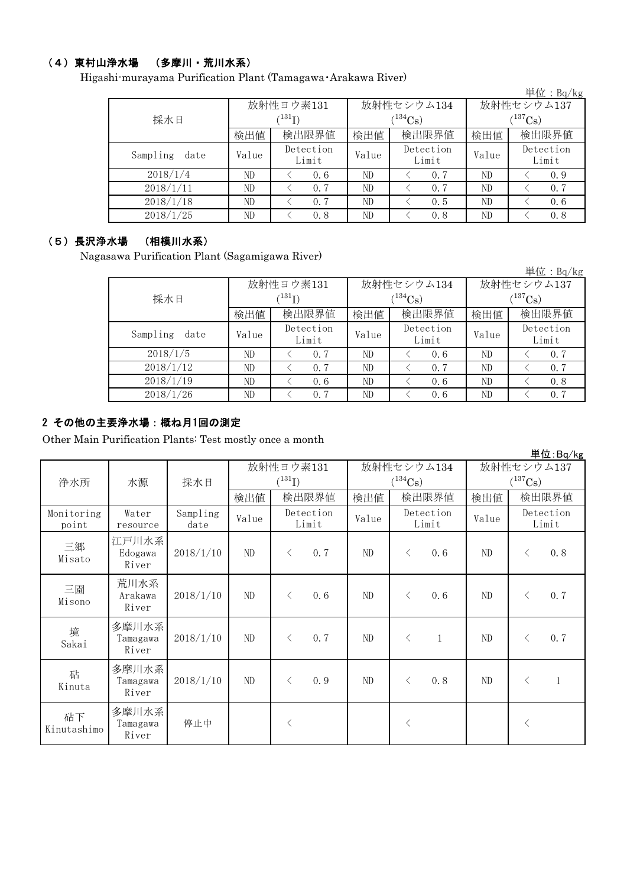# (4)東村山浄水場 (多摩川・荒川水系)

Higashi-murayama Purification Plant (Tamagawa・Arakawa River)

|                  |       |                            |       |                    |              | 単位: $Bq/kg$        |  |
|------------------|-------|----------------------------|-------|--------------------|--------------|--------------------|--|
|                  |       | 放射性ヨウ素131                  |       | 放射性セシウム134         | 放射性セシウム137   |                    |  |
| 採水日              |       | $^{\prime131} \mathrm{I})$ |       | $(134)$ Cs         | $(^{137}Cs)$ |                    |  |
|                  | 検出値   | 検出限界値                      | 検出値   | 検出限界値              | 検出値          | 検出限界値              |  |
| Sampling<br>date | Value | Detection<br>Limit         | Value | Detection<br>Limit | Value        | Detection<br>Limit |  |
| 2018/1/4         | ND    | 0.6                        | ND    | 0.7                | ND           | 0.9                |  |
| 2018/1/11        | ND    | 0.7                        | ND    | 0.7                | ND           | 0.7                |  |
| 2018/1/18        | ND.   | 0.7                        | ND    | 0.5                | ND           | 0.6                |  |
| 2018/1/25        | ND    | 0.8                        | ND    | 0.8                | ND           | 0.8                |  |

#### (5)長沢浄水場 (相模川水系)

Nagasawa Purification Plant (Sagamigawa River)

|                  |       |                    |       |                    |            | 単位: $Bq/kg$        |  |
|------------------|-------|--------------------|-------|--------------------|------------|--------------------|--|
|                  |       | 放射性ヨウ素131          |       | 放射性セシウム134         | 放射性セシウム137 |                    |  |
| 採水日              |       | $^{131}$ I)        |       | $134C_{\rm S}$     | $137C_8$ ) |                    |  |
|                  | 検出値   | 検出限界値              | 検出値   | 検出限界値              | 検出値        | 検出限界値              |  |
| Sampling<br>date | Value | Detection<br>Limit | Value | Detection<br>Limit | Value      | Detection<br>Limit |  |
| 2018/1/5         | ND    | 0.7                | ND    | 0.6                | ND         | 0.7                |  |
| 2018/1/12        | ND    | 0.7                | ND    | 0.7                | ND         | 0.7                |  |
| 2018/1/19        | ND    | 0.6                | ND    | 0.6                | ND         | 0.8                |  |
| 2018/1/26        | ND    | 0.7                | ND    | 0.6                | ND         | 0, 7               |  |

## 2 その他の主要浄水場:概ね月1回の測定

Other Main Purification Plants: Test mostly once a month

|                     |                            |                  |       |                          |                    |                             |       |              |                            |           | 単位:Bq/kg           |
|---------------------|----------------------------|------------------|-------|--------------------------|--------------------|-----------------------------|-------|--------------|----------------------------|-----------|--------------------|
| 浄水所                 | 採水日<br>水源                  |                  |       | 放射性ヨウ素131<br>$(^{131}I)$ |                    | 放射性セシウム134<br>$(^{134}Cs)$  |       |              | 放射性セシウム137<br>$(^{137}Cs)$ |           |                    |
|                     |                            |                  | 検出値   |                          | 検出限界値              | 検出値<br>検出限界値                |       | 検出値          |                            | 検出限界値     |                    |
| Monitoring<br>point | Water<br>resource          | Sampling<br>date | Value |                          | Detection<br>Limit | Detection<br>Value<br>Limit |       |              | Value                      |           | Detection<br>Limit |
| 三郷<br>Misato        | 江戸川水系<br>Edogawa<br>River  | 2018/1/10        | ND    | $\langle$                | 0.7                | ND                          | $\lt$ | 0.6          | ND                         | $\langle$ | 0.8                |
| 三園<br>Misono        | 荒川水系<br>Arakawa<br>River   | 2018/1/10        | ND    | $\lt$                    | 0.6                | ND                          | $\lt$ | 0.6          | ND                         | $\langle$ | 0.7                |
| 境<br>Sakai          | 多摩川水系<br>Tamagawa<br>River | 2018/1/10        | ND    | $\lt$                    | 0.7                | ND                          | $\lt$ | $\mathbf{1}$ | ND                         | $\lt$     | 0.7                |
| 砧<br>Kinuta         | 多摩川水系<br>Tamagawa<br>River | 2018/1/10        | ND    | $\langle$                | 0.9                | ND                          | $\lt$ | 0.8          | ND                         | $\lt$     |                    |
| 砧下<br>Kinutashimo   | 多摩川水系<br>Tamagawa<br>River | 停止中              |       | $\langle$                |                    |                             | $\lt$ |              |                            | $\langle$ |                    |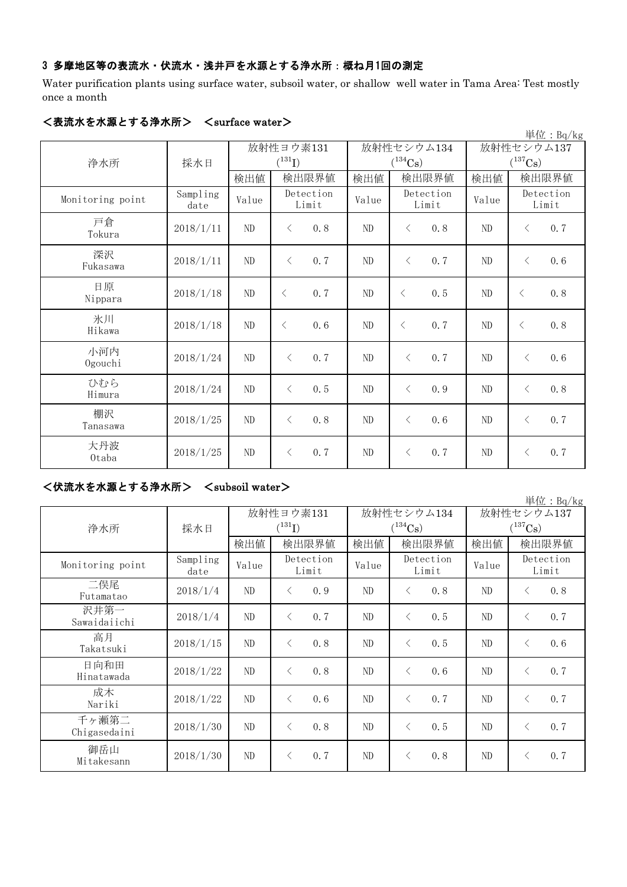### 3 多摩地区等の表流水・伏流水・浅井戸を水源とする浄水所:概ね月1回の測定

Water purification plants using surface water, subsoil water, or shallow well water in Tama Area: Test mostly once a month

| 単位: Bq/kg        |                  |       |                      |       |                       |              |                    |  |  |  |
|------------------|------------------|-------|----------------------|-------|-----------------------|--------------|--------------------|--|--|--|
|                  |                  |       | 放射性ヨウ素131            |       | 放射性セシウム134            | 放射性セシウム137   |                    |  |  |  |
| 浄水所              | 採水日              |       | $({}^{131}\text{I})$ |       | $(^{134}\mathrm{Cs})$ | $(^{137}Cs)$ |                    |  |  |  |
|                  |                  | 検出値   | 検出限界値                | 検出値   | 検出限界値                 | 検出値          | 検出限界値              |  |  |  |
| Monitoring point | Sampling<br>date | Value | Detection<br>Limit   | Value | Detection<br>Limit    | Value        | Detection<br>Limit |  |  |  |
| 戸倉<br>Tokura     | 2018/1/11        | ND    | 0.8<br>$\lt$         | ND    | 0.8<br>$\lt$          | $\rm ND$     | 0.7<br>$\langle$   |  |  |  |
| 深沢<br>Fukasawa   | 2018/1/11        | ND    | 0.7<br>$\lt$         | ND    | $\lt$<br>0, 7         | $\rm ND$     | 0.6<br>$\langle$   |  |  |  |
| 日原<br>Nippara    | 2018/1/18        | ND    | 0, 7<br>$\lt$        | ND    | 0.5<br>$\lt$          | $\rm ND$     | 0.8<br>$\langle$   |  |  |  |
| 氷川<br>Hikawa     | 2018/1/18        | ND    | 0.6<br>$\lt$         | ND    | 0.7<br>$\lt$          | ND           | 0.8<br>$\lt$       |  |  |  |
| 小河内<br>Ogouchi   | 2018/1/24        | ND    | 0.7<br>$\lt$         | ND    | 0.7<br>$\lt$          | ND           | 0.6<br>$\lt$       |  |  |  |
| ひむら<br>Himura    | 2018/1/24        | ND    | 0.5<br>$\langle$     | ND    | 0.9<br>$\langle$      | $\rm ND$     | 0.8<br>$\lt$       |  |  |  |
| 棚沢<br>Tanasawa   | 2018/1/25        | ND    | 0.8<br>$\langle$     | ND    | 0.6<br>$\lt$          | $\rm ND$     | 0.7<br>$\langle$   |  |  |  |
| 大丹波<br>0taba     | 2018/1/25        | ND    | 0.7<br>$\lt$         | ND    | 0.7<br>$\lt$          | $\rm ND$     | 0.7<br>$\lt$       |  |  |  |

#### <表流水を水源とする浄水所> <surface water>

#### <伏流水を水源とする浄水所> <subsoil water>

単位:Bq/kg 検出値 | 検出限量 | 検出限界値 | 検出値 | 検出限界値 Sampling date  $V$ alue  $V$ <sup>Detection</sup> Value  $V$  $2018/1/4$  ND  $\leq$  0.9 ND  $\leq$  0.8 ND  $\leq$  0.8  $2018/1/4$  ND < 0.7 ND < 0.5 ND < 0.7 2018/1/15 ND < 0.8 ND < 0.5 ND < 0.6  $2018/1/22$  ND < 0.8 ND < 0.6 ND < 0.7  $2018/1/22$  ND < 0.6 ND < 0.7 ND < 0.7 2018/1/30 ND  $\left\{ \begin{array}{ccc} 0.8 & N_{\text{D}} \\ 0.8 & N_{\text{D}} \end{array} \right.$   $\left\{ \begin{array}{ccc} 0.5 & N_{\text{D}} \\ N_{\text{D}} \end{array} \right.$   $\left\{ \begin{array}{ccc} 0.7 & N_{\text{D}} \\ N_{\text{D}} \end{array} \right.$ 2018/1/30 ND < 0.7 ND < 0.8 ND < 0.7 二俣尾 Futamatao 成木 Nariki 放射性ヨウ素131  $(^{131}\text{I})$ 高月 Takatsuki 日向和田 Hinatawada 放射性セシウム137  $(^{137}\text{Cs})$ 放射性セシウム134  $(^{134}Cs)$ Detection Limit Monitoring point Detection Limit Detection Limit 浄水所 | 採水日 沢井第一 Sawaidaiichi 千ヶ瀬第二 Chigasedaini 御岳山 Mitakesann